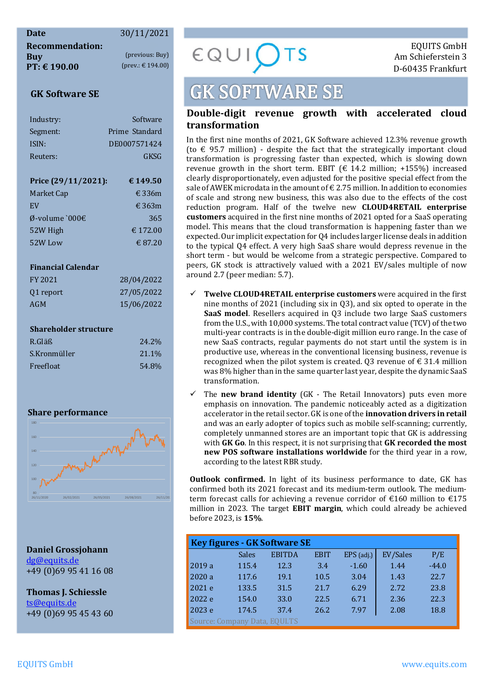## **Date** 30/11/2021

**Buy** (previous: Buy)  $\epsilon \bigotimes \bigcup \bigcup \bigcup \bigcup T$  Am Schieferstein 3<br> **PT:**  $\epsilon$  190.00 (prev.:  $\epsilon$  194.00) **PT: € 190.00** (prev.: € 194.00) D-60435 Frankfurt

#### **GK Software SE**

| Industry:           | Software        |
|---------------------|-----------------|
| Segment:            | Prime Standard  |
| ISIN:               | DE0007571424    |
| Reuters:            | GKSG            |
|                     |                 |
| Price (29/11/2021): | € 149.50        |
| Market Cap          | $\epsilon$ 336m |
| <b>FV</b>           | $\epsilon$ 363m |
| Ø-volume `000€      | 365             |
|                     |                 |

### 52W High  $\epsilon$  172.00  $52W$  Low  $\epsilon$  87.20

#### **Financial Calendar**

| FY 2021   | 28/04/2022 |
|-----------|------------|
| 01 report | 27/05/2022 |
| AGM       | 15/06/2022 |

#### **Shareholder structure**

| R.Gläß       | 24.2% |
|--------------|-------|
| S.Kronmüller | 21.1% |
| Freefloat    | 54.8% |

#### **Share performance**



**Daniel Grossjohann**  dg@equits.de +49 (0)69 95 41 16 08

**Thomas J. Schiessle**  ts@equits.de +49 (0)69 95 45 43 60

## **GK SOFTWARE SE**

#### **Double-digit revenue growth with accelerated cloud transformation**

In the first nine months of 2021, GK Software achieved 12.3% revenue growth (to  $\epsilon$  95.7 million) - despite the fact that the strategically important cloud transformation is progressing faster than expected, which is slowing down revenue growth in the short term. EBIT  $(\epsilon 14.2 \text{ million}; +155%)$  increased clearly disproportionately, even adjusted for the positive special effect from the sale of AWEK microdata in the amount of  $\epsilon$  2.75 million. In addition to economies of scale and strong new business, this was also due to the effects of the cost reduction program. Half of the twelve new **CLOUD4RETAIL enterprise customers** acquired in the first nine months of 2021 opted for a SaaS operating model. This means that the cloud transformation is happening faster than we expected. Our implicit expectation for Q4 includes larger license deals in addition to the typical Q4 effect. A very high SaaS share would depress revenue in the short term - but would be welcome from a strategic perspective. Compared to peers, GK stock is attractively valued with a 2021 EV/sales multiple of now around 2.7 (peer median: 5.7).

- **Twelve CLOUD4RETAIL enterprise customers** were acquired in the first nine months of 2021 (including six in Q3), and six opted to operate in the **SaaS model**. Resellers acquired in Q3 include two large SaaS customers from the U.S., with 10,000 systems. The total contract value (TCV) of the two multi-year contracts is in the double-digit million euro range. In the case of new SaaS contracts, regular payments do not start until the system is in productive use, whereas in the conventional licensing business, revenue is recognized when the pilot system is created. Q3 revenue of  $\epsilon$  31.4 million was 8% higher than in the same quarter last year, despite the dynamic SaaS transformation.
- The **new brand identity** (GK The Retail Innovators) puts even more emphasis on innovation. The pandemic noticeably acted as a digitization accelerator in the retail sector. GK is one of the **innovation drivers in retail** and was an early adopter of topics such as mobile self-scanning; currently, completely unmanned stores are an important topic that GK is addressing with **GK Go**. In this respect, it is not surprising that **GK recorded the most new POS software installations worldwide** for the third year in a row, according to the latest RBR study.

**Outlook confirmed.** In light of its business performance to date, GK has confirmed both its 2021 forecast and its medium-term outlook. The mediumterm forecast calls for achieving a revenue corridor of  $\epsilon$ 160 million to  $\epsilon$ 175 million in 2023. The target **EBIT margin**, which could already be achieved before 2023, is **15%**.

| <b>Key figures - GK Software SE</b> |       |               |             |              |          |         |  |  |
|-------------------------------------|-------|---------------|-------------|--------------|----------|---------|--|--|
|                                     | Sales | <b>EBITDA</b> | <b>EBIT</b> | $EPS$ (adj.) | EV/Sales | P/E     |  |  |
| 2019a                               | 115.4 | 12.3          | 3.4         | $-1.60$      | 1.44     | $-44.0$ |  |  |
| 2020 a                              | 117.6 | 19.1          | 10.5        | 3.04         | 1.43     | 22.7    |  |  |
| 2021 e                              | 133.5 | 31.5          | 21.7        | 6.29         | 2.72     | 23.8    |  |  |
| 2022 e                              | 154.0 | 33.0          | 22.5        | 6.71         | 2.36     | 22.3    |  |  |
| 2023 e                              | 174.5 | 37.4          | 26.2        | 7.97         | 2.08     | 18.8    |  |  |
| Source: Company Data, EQUI.TS       |       |               |             |              |          |         |  |  |

**Recommendation:** EQUITS GmbH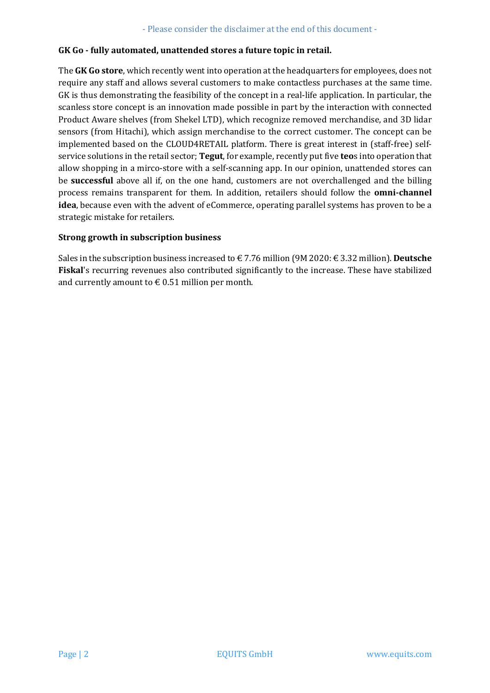#### **GK Go - fully automated, unattended stores a future topic in retail.**

The **GK Go store**, which recently went into operation at the headquarters for employees, does not require any staff and allows several customers to make contactless purchases at the same time. GK is thus demonstrating the feasibility of the concept in a real-life application. In particular, the scanless store concept is an innovation made possible in part by the interaction with connected Product Aware shelves (from Shekel LTD), which recognize removed merchandise, and 3D lidar sensors (from Hitachi), which assign merchandise to the correct customer. The concept can be implemented based on the CLOUD4RETAIL platform. There is great interest in (staff-free) selfservice solutions in the retail sector; **Tegut**, for example, recently put five **teo**s into operation that allow shopping in a mirco-store with a self-scanning app. In our opinion, unattended stores can be **successful** above all if, on the one hand, customers are not overchallenged and the billing process remains transparent for them. In addition, retailers should follow the **omni-channel idea**, because even with the advent of eCommerce, operating parallel systems has proven to be a strategic mistake for retailers.

#### **Strong growth in subscription business**

Sales in the subscription business increased to € 7.76 million (9M 2020: € 3.32 million). **Deutsche Fiskal**'s recurring revenues also contributed significantly to the increase. These have stabilized and currently amount to  $\epsilon$  0.51 million per month.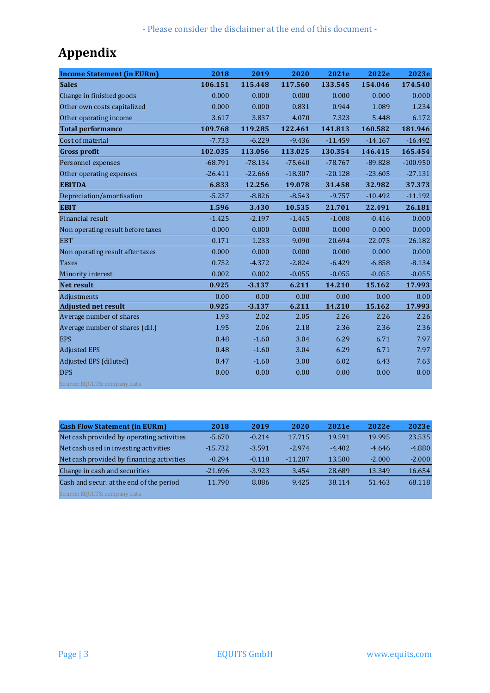- Please consider the disclaimer at the end of this document -

## **Appendix**

| <b>Income Statement (in EURm)</b> | 2018      | 2019      | 2020      | 2021e     | 2022e     | 2023e      |
|-----------------------------------|-----------|-----------|-----------|-----------|-----------|------------|
| <b>Sales</b>                      | 106.151   | 115.448   | 117.560   | 133.545   | 154.046   | 174.540    |
| Change in finished goods          | 0.000     | 0.000     | 0.000     | 0.000     | 0.000     | 0.000      |
| Other own costs capitalized       | 0.000     | 0.000     | 0.831     | 0.944     | 1.089     | 1.234      |
| Other operating income            | 3.617     | 3.837     | 4.070     | 7.323     | 5.448     | 6.172      |
| <b>Total performance</b>          | 109.768   | 119.285   | 122.461   | 141.813   | 160.582   | 181.946    |
| Cost of material                  | $-7.733$  | $-6.229$  | $-9.436$  | $-11.459$ | $-14.167$ | $-16.492$  |
| <b>Gross profit</b>               | 102.035   | 113.056   | 113.025   | 130.354   | 146.415   | 165.454    |
| Personnel expenses                | $-68.791$ | $-78.134$ | $-75.640$ | $-78.767$ | $-89.828$ | $-100.950$ |
| Other operating expenses          | $-26.411$ | $-22.666$ | $-18.307$ | $-20.128$ | $-23.605$ | $-27.131$  |
| <b>EBITDA</b>                     | 6.833     | 12.256    | 19.078    | 31.458    | 32.982    | 37.373     |
| Depreciation/amortisation         | $-5.237$  | $-8.826$  | $-8.543$  | $-9.757$  | $-10.492$ | $-11.192$  |
| <b>EBIT</b>                       | 1.596     | 3.430     | 10.535    | 21.701    | 22.491    | 26.181     |
| Financial result                  | $-1.425$  | $-2.197$  | $-1.445$  | $-1.008$  | $-0.416$  | 0.000      |
| Non operating result before taxes | 0.000     | 0.000     | 0.000     | 0.000     | 0.000     | 0.000      |
| <b>EBT</b>                        | 0.171     | 1.233     | 9.090     | 20.694    | 22.075    | 26.182     |
| Non operating result after taxes  | 0.000     | 0.000     | 0.000     | 0.000     | 0.000     | 0.000      |
| <b>Taxes</b>                      | 0.752     | $-4.372$  | $-2.824$  | $-6.429$  | $-6.858$  | $-8.134$   |
| Minority interest                 | 0.002     | 0.002     | $-0.055$  | $-0.055$  | $-0.055$  | $-0.055$   |
| <b>Net result</b>                 | 0.925     | $-3.137$  | 6.211     | 14.210    | 15.162    | 17.993     |
| Adjustments                       | 0.00      | 0.00      | 0.00      | 0.00      | 0.00      | 0.00       |
| <b>Adjusted net result</b>        | 0.925     | $-3.137$  | 6.211     | 14.210    | 15.162    | 17.993     |
| Average number of shares          | 1.93      | 2.02      | 2.05      | 2.26      | 2.26      | 2.26       |
| Average number of shares (dil.)   | 1.95      | 2.06      | 2.18      | 2.36      | 2.36      | 2.36       |
| <b>EPS</b>                        | 0.48      | $-1.60$   | 3.04      | 6.29      | 6.71      | 7.97       |
| <b>Adjusted EPS</b>               | 0.48      | $-1.60$   | 3.04      | 6.29      | 6.71      | 7.97       |
| Adjusted EPS (diluted)            | 0.47      | $-1.60$   | 3.00      | 6.02      | 6.43      | 7.63       |
| <b>DPS</b>                        | 0.00      | 0.00      | 0.00      | 0.00      | 0.00      | 0.00       |
| Source: EQUI.TS; company data     |           |           |           |           |           |            |

| <b>Cash Flow Statement (in EURm)</b>      | 2018      | 2019     | 2020      | 2021e    | 2022e    | 2023e    |
|-------------------------------------------|-----------|----------|-----------|----------|----------|----------|
| Net cash provided by operating activities | $-5.670$  | $-0.214$ | 17.715    | 19.591   | 19.995   | 23.535   |
| Net cash used in investing activities     | $-15.732$ | $-3.591$ | $-2.974$  | $-4.402$ | $-4.646$ | $-4.880$ |
| Net cash provided by financing activities | $-0.294$  | $-0.118$ | $-11.287$ | 13.500   | $-2.000$ | $-2.000$ |
| Change in cash and securities             | $-21.696$ | $-3.923$ | 3.454     | 28.689   | 13.349   | 16.654   |
| Cash and secur. at the end of the period  | 11.790    | 8.086    | 9.425     | 38.114   | 51.463   | 68.118   |
| Source: EQUI.TS; company data             |           |          |           |          |          |          |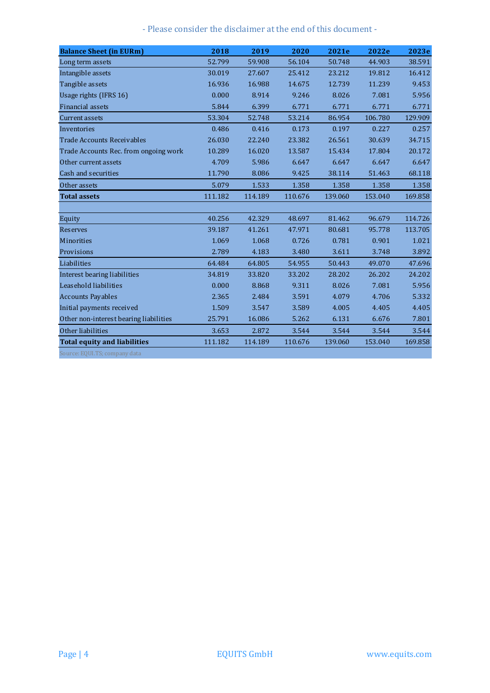- Please consider the disclaimer at the end of this document -

| <b>Balance Sheet (in EURm)</b>         | 2018    | 2019    | 2020    | 2021e   | 2022e   | 2023e   |
|----------------------------------------|---------|---------|---------|---------|---------|---------|
| Long term assets                       | 52.799  | 59.908  | 56.104  | 50.748  | 44.903  | 38.591  |
| Intangible assets                      | 30.019  | 27.607  | 25.412  | 23.212  | 19.812  | 16.412  |
| Tangible assets                        | 16.936  | 16.988  | 14.675  | 12.739  | 11.239  | 9.453   |
| Usage rights (IFRS 16)                 | 0.000   | 8.914   | 9.246   | 8.026   | 7.081   | 5.956   |
| Financial assets                       | 5.844   | 6.399   | 6.771   | 6.771   | 6.771   | 6.771   |
| <b>Current assets</b>                  | 53.304  | 52.748  | 53.214  | 86.954  | 106.780 | 129.909 |
| Inventories                            | 0.486   | 0.416   | 0.173   | 0.197   | 0.227   | 0.257   |
| <b>Trade Accounts Receivables</b>      | 26.030  | 22.240  | 23.382  | 26.561  | 30.639  | 34.715  |
| Trade Accounts Rec. from ongoing work  | 10.289  | 16.020  | 13.587  | 15.434  | 17.804  | 20.172  |
| Other current assets                   | 4.709   | 5.986   | 6.647   | 6.647   | 6.647   | 6.647   |
| Cash and securities                    | 11.790  | 8.086   | 9.425   | 38.114  | 51.463  | 68.118  |
| Other assets                           | 5.079   | 1.533   | 1.358   | 1.358   | 1.358   | 1.358   |
| <b>Total assets</b>                    | 111.182 | 114.189 | 110.676 | 139.060 | 153.040 | 169.858 |
|                                        |         |         |         |         |         |         |
| Equity                                 | 40.256  | 42.329  | 48.697  | 81.462  | 96.679  | 114.726 |
| <b>Reserves</b>                        | 39.187  | 41.261  | 47.971  | 80.681  | 95.778  | 113.705 |
| Minorities                             | 1.069   | 1.068   | 0.726   | 0.781   | 0.901   | 1.021   |
| Provisions                             | 2.789   | 4.183   | 3.480   | 3.611   | 3.748   | 3.892   |
| Liabilities                            | 64.484  | 64.805  | 54.955  | 50.443  | 49.070  | 47.696  |
| Interest bearing liabilities           | 34.819  | 33.820  | 33.202  | 28.202  | 26.202  | 24.202  |
| Leasehold liabilities                  | 0.000   | 8.868   | 9.311   | 8.026   | 7.081   | 5.956   |
| <b>Accounts Payables</b>               | 2.365   | 2.484   | 3.591   | 4.079   | 4.706   | 5.332   |
| Initial payments received              | 1.509   | 3.547   | 3.589   | 4.005   | 4.405   | 4.405   |
| Other non-interest bearing liabilities | 25.791  | 16.086  | 5.262   | 6.131   | 6.676   | 7.801   |
| Other liabilities                      | 3.653   | 2.872   | 3.544   | 3.544   | 3.544   | 3.544   |
| <b>Total equity and liabilities</b>    | 111.182 | 114.189 | 110.676 | 139.060 | 153.040 | 169.858 |
| Source: EQUI.TS; company data          |         |         |         |         |         |         |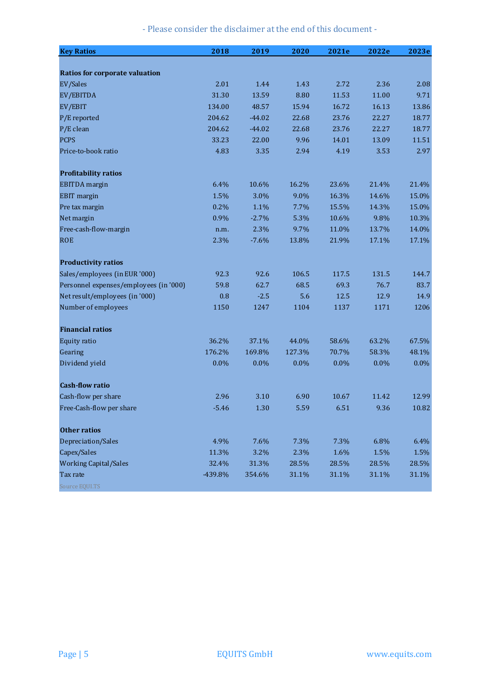|  |  |  |  |  |  |  |  | - Please consider the disclaimer at the end of this document - |
|--|--|--|--|--|--|--|--|----------------------------------------------------------------|
|--|--|--|--|--|--|--|--|----------------------------------------------------------------|

| <b>Key Ratios</b>                      | 2018    | 2019     | 2020   | 2021e | 2022e | 2023e |
|----------------------------------------|---------|----------|--------|-------|-------|-------|
|                                        |         |          |        |       |       |       |
| <b>Ratios for corporate valuation</b>  |         |          |        |       |       |       |
| EV/Sales                               | 2.01    | 1.44     | 1.43   | 2.72  | 2.36  | 2.08  |
| EV/EBITDA                              | 31.30   | 13.59    | 8.80   | 11.53 | 11.00 | 9.71  |
| EV/EBIT                                | 134.00  | 48.57    | 15.94  | 16.72 | 16.13 | 13.86 |
| P/E reported                           | 204.62  | $-44.02$ | 22.68  | 23.76 | 22.27 | 18.77 |
| P/E clean                              | 204.62  | $-44.02$ | 22.68  | 23.76 | 22.27 | 18.77 |
| <b>PCPS</b>                            | 33.23   | 22.00    | 9.96   | 14.01 | 13.09 | 11.51 |
| Price-to-book ratio                    | 4.83    | 3.35     | 2.94   | 4.19  | 3.53  | 2.97  |
| <b>Profitability ratios</b>            |         |          |        |       |       |       |
| <b>EBITDA</b> margin                   | 6.4%    | 10.6%    | 16.2%  | 23.6% | 21.4% | 21.4% |
| <b>EBIT</b> margin                     | 1.5%    | 3.0%     | 9.0%   | 16.3% | 14.6% | 15.0% |
| Pre tax margin                         | 0.2%    | 1.1%     | 7.7%   | 15.5% | 14.3% | 15.0% |
| Net margin                             | 0.9%    | $-2.7%$  | 5.3%   | 10.6% | 9.8%  | 10.3% |
| Free-cash-flow-margin                  | n.m.    | 2.3%     | 9.7%   | 11.0% | 13.7% | 14.0% |
| <b>ROE</b>                             | 2.3%    | $-7.6%$  | 13.8%  | 21.9% | 17.1% | 17.1% |
| <b>Productivity ratios</b>             |         |          |        |       |       |       |
| Sales/employees (in EUR '000)          | 92.3    | 92.6     | 106.5  | 117.5 | 131.5 | 144.7 |
| Personnel expenses/employees (in '000) | 59.8    | 62.7     | 68.5   | 69.3  | 76.7  | 83.7  |
| Net result/employees (in '000)         | 0.8     | $-2.5$   | 5.6    | 12.5  | 12.9  | 14.9  |
| Number of employees                    | 1150    | 1247     | 1104   | 1137  | 1171  | 1206  |
| <b>Financial ratios</b>                |         |          |        |       |       |       |
| Equity ratio                           | 36.2%   | 37.1%    | 44.0%  | 58.6% | 63.2% | 67.5% |
| Gearing                                | 176.2%  | 169.8%   | 127.3% | 70.7% | 58.3% | 48.1% |
| Dividend yield                         | 0.0%    | 0.0%     | 0.0%   | 0.0%  | 0.0%  | 0.0%  |
| <b>Cash-flow ratio</b>                 |         |          |        |       |       |       |
| Cash-flow per share                    | 2.96    | 3.10     | 6.90   | 10.67 | 11.42 | 12.99 |
| Free-Cash-flow per share               | $-5.46$ | 1.30     | 5.59   | 6.51  | 9.36  | 10.82 |
| <b>Other ratios</b>                    |         |          |        |       |       |       |
| Depreciation/Sales                     | 4.9%    | 7.6%     | 7.3%   | 7.3%  | 6.8%  | 6.4%  |
| Capex/Sales                            | 11.3%   | 3.2%     | 2.3%   | 1.6%  | 1.5%  | 1.5%  |
| <b>Working Capital/Sales</b>           | 32.4%   | 31.3%    | 28.5%  | 28.5% | 28.5% | 28.5% |
| Tax rate                               | -439.8% | 354.6%   | 31.1%  | 31.1% | 31.1% | 31.1% |
| Source EQUI.TS                         |         |          |        |       |       |       |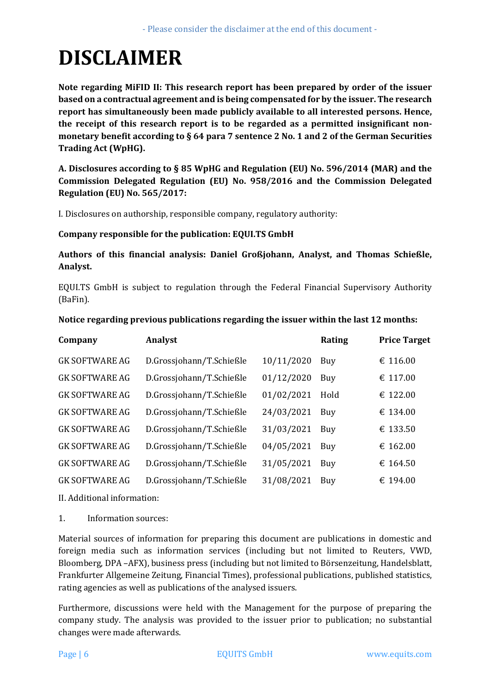# **DISCLAIMER**

**Note regarding MiFID II: This research report has been prepared by order of the issuer based on a contractual agreement and is being compensated for by the issuer. The research report has simultaneously been made publicly available to all interested persons. Hence, the receipt of this research report is to be regarded as a permitted insignificant nonmonetary benefit according to § 64 para 7 sentence 2 No. 1 and 2 of the German Securities Trading Act (WpHG).** 

**A. Disclosures according to § 85 WpHG and Regulation (EU) No. 596/2014 (MAR) and the Commission Delegated Regulation (EU) No. 958/2016 and the Commission Delegated Regulation (EU) No. 565/2017:** 

I. Disclosures on authorship, responsible company, regulatory authority:

#### **Company responsible for the publication: EQUI.TS GmbH**

#### **Authors of this financial analysis: Daniel Großjohann, Analyst, and Thomas Schießle, Analyst.**

EQUI.TS GmbH is subject to regulation through the Federal Financial Supervisory Authority (BaFin).

| Company               | Analyst                  |            | Rating | <b>Price Target</b> |
|-----------------------|--------------------------|------------|--------|---------------------|
| <b>GK SOFTWARE AG</b> | D.Grossjohann/T.Schießle | 10/11/2020 | Buy    | 116.00<br>€         |
| <b>GK SOFTWARE AG</b> | D.Grossjohann/T.Schießle | 01/12/2020 | Buy    | € 117.00            |
| <b>GK SOFTWARE AG</b> | D.Grossjohann/T.Schießle | 01/02/2021 | Hold   | € 122.00            |
| <b>GK SOFTWARE AG</b> | D.Grossjohann/T.Schießle | 24/03/2021 | Buy    | € 134.00            |
| <b>GK SOFTWARE AG</b> | D.Grossjohann/T.Schießle | 31/03/2021 | Buy    | € 133.50            |
| <b>GK SOFTWARE AG</b> | D.Grossjohann/T.Schießle | 04/05/2021 | Buy    | 162.00<br>€         |
| <b>GK SOFTWARE AG</b> | D.Grossjohann/T.Schießle | 31/05/2021 | Buy    | 164.50<br>€         |
| <b>GK SOFTWARE AG</b> | D.Grossjohann/T.Schießle | 31/08/2021 | Buy    | 194.00<br>€         |
|                       |                          |            |        |                     |

#### **Notice regarding previous publications regarding the issuer within the last 12 months:**

II. Additional information:

1. Information sources:

Material sources of information for preparing this document are publications in domestic and foreign media such as information services (including but not limited to Reuters, VWD, Bloomberg, DPA –AFX), business press (including but not limited to Börsenzeitung, Handelsblatt, Frankfurter Allgemeine Zeitung, Financial Times), professional publications, published statistics, rating agencies as well as publications of the analysed issuers.

Furthermore, discussions were held with the Management for the purpose of preparing the company study. The analysis was provided to the issuer prior to publication; no substantial changes were made afterwards.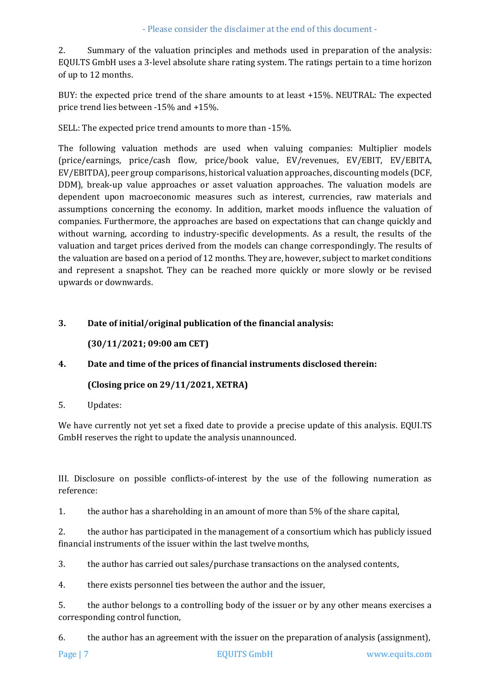2. Summary of the valuation principles and methods used in preparation of the analysis: EQUI.TS GmbH uses a 3-level absolute share rating system. The ratings pertain to a time horizon of up to 12 months.

BUY: the expected price trend of the share amounts to at least +15%. NEUTRAL: The expected price trend lies between -15% and +15%.

SELL: The expected price trend amounts to more than -15%.

The following valuation methods are used when valuing companies: Multiplier models (price/earnings, price/cash flow, price/book value, EV/revenues, EV/EBIT, EV/EBITA, EV/EBITDA), peer group comparisons, historical valuation approaches, discounting models (DCF, DDM), break-up value approaches or asset valuation approaches. The valuation models are dependent upon macroeconomic measures such as interest, currencies, raw materials and assumptions concerning the economy. In addition, market moods influence the valuation of companies. Furthermore, the approaches are based on expectations that can change quickly and without warning, according to industry-specific developments. As a result, the results of the valuation and target prices derived from the models can change correspondingly. The results of the valuation are based on a period of 12 months. They are, however, subject to market conditions and represent a snapshot. They can be reached more quickly or more slowly or be revised upwards or downwards.

#### **3. Date of initial/original publication of the financial analysis:**

#### **(30/11/2021; 09:00 am CET)**

#### **4. Date and time of the prices of financial instruments disclosed therein:**

#### **(Closing price on 29/11/2021, XETRA)**

5. Updates:

We have currently not yet set a fixed date to provide a precise update of this analysis. EQUI.TS GmbH reserves the right to update the analysis unannounced.

III. Disclosure on possible conflicts-of-interest by the use of the following numeration as reference:

1. the author has a shareholding in an amount of more than 5% of the share capital,

2. the author has participated in the management of a consortium which has publicly issued financial instruments of the issuer within the last twelve months,

3. the author has carried out sales/purchase transactions on the analysed contents,

4. there exists personnel ties between the author and the issuer,

5. the author belongs to a controlling body of the issuer or by any other means exercises a corresponding control function,

6. the author has an agreement with the issuer on the preparation of analysis (assignment),